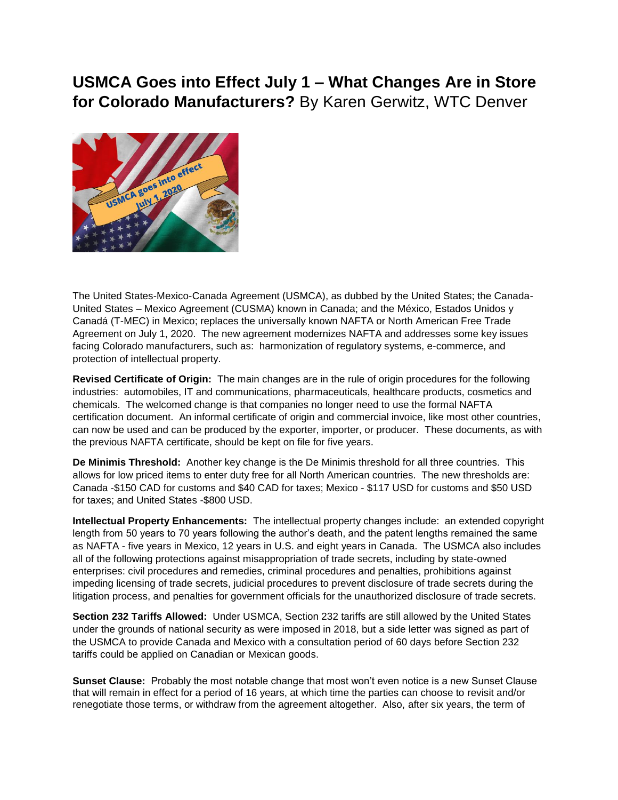## **USMCA Goes into Effect July 1 – What Changes Are in Store for Colorado Manufacturers?** By Karen Gerwitz, WTC Denver



The United States-Mexico-Canada Agreement (USMCA), as dubbed by the United States; the Canada-United States – Mexico Agreement (CUSMA) known in Canada; and the México, Estados Unidos y Canadá (T-MEC) in Mexico; replaces the universally known NAFTA or North American Free Trade Agreement on July 1, 2020. The new agreement modernizes NAFTA and addresses some key issues facing Colorado manufacturers, such as: harmonization of regulatory systems, e-commerce, and protection of intellectual property.

**Revised Certificate of Origin:** The main changes are in the rule of origin procedures for the following industries: automobiles, IT and communications, pharmaceuticals, healthcare products, cosmetics and chemicals. The welcomed change is that companies no longer need to use the formal NAFTA certification document. An informal certificate of origin and commercial invoice, like most other countries, can now be used and can be produced by the exporter, importer, or producer. These documents, as with the previous NAFTA certificate, should be kept on file for five years.

**De Minimis Threshold:** Another key change is the De Minimis threshold for all three countries. This allows for low priced items to enter duty free for all North American countries. The new thresholds are: Canada -\$150 CAD for customs and \$40 CAD for taxes; Mexico - \$117 USD for customs and \$50 USD for taxes; and United States -\$800 USD.

**Intellectual Property Enhancements:** The intellectual property changes include: an extended copyright length from 50 years to 70 years following the author's death, and the patent lengths remained the same as NAFTA - five years in Mexico, 12 years in U.S. and eight years in Canada. The USMCA also includes all of the following protections against misappropriation of trade secrets, including by state-owned enterprises: civil procedures and remedies, criminal procedures and penalties, prohibitions against impeding licensing of trade secrets, judicial procedures to prevent disclosure of trade secrets during the litigation process, and penalties for government officials for the unauthorized disclosure of trade secrets.

**Section 232 Tariffs Allowed:** Under USMCA, Section 232 tariffs are still allowed by the United States under the grounds of national security as were imposed in 2018, but a side letter was signed as part of the USMCA to provide Canada and Mexico with a consultation period of 60 days before Section 232 tariffs could be applied on Canadian or Mexican goods.

**Sunset Clause:** Probably the most notable change that most won't even notice is a new Sunset Clause that will remain in effect for a period of 16 years, at which time the parties can choose to revisit and/or renegotiate those terms, or withdraw from the agreement altogether. Also, after six years, the term of